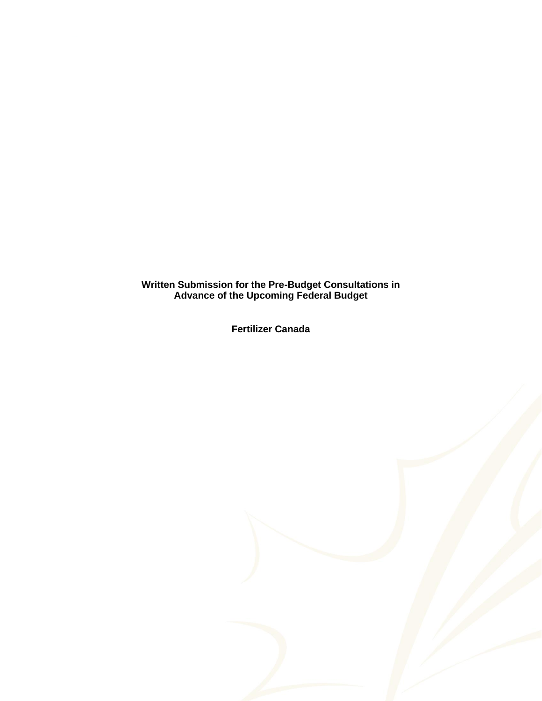**Written Submission for the Pre-Budget Consultations in Advance of the Upcoming Federal Budget**

**Fertilizer Canada**

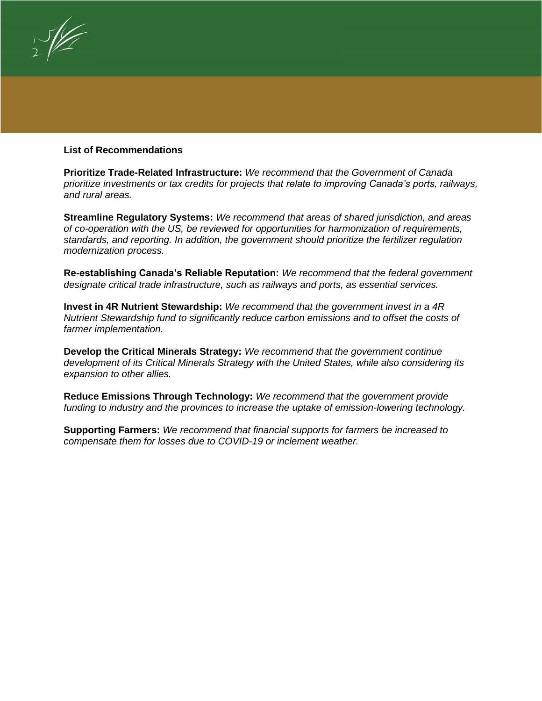## **List of Recommendations**

**Prioritize Trade-Related Infrastructure:** *We recommend that the Government of Canada prioritize investments or tax credits for projects that relate to improving Canada's ports, railways, and rural areas.* 

**Streamline Regulatory Systems:** *We recommend that areas of shared jurisdiction, and areas of co-operation with the US, be reviewed for opportunities for harmonization of requirements, standards, and reporting. In addition, the government should prioritize the fertilizer regulation modernization process.*

**Re-establishing Canada's Reliable Reputation:** *We recommend that the federal government designate critical trade infrastructure, such as railways and ports, as essential services.*

**Invest in 4R Nutrient Stewardship:** *We recommend that the government invest in a 4R Nutrient Stewardship fund to significantly reduce carbon emissions and to offset the costs of farmer implementation.*

**Develop the Critical Minerals Strategy:** *We recommend that the government continue development of its Critical Minerals Strategy with the United States, while also considering its expansion to other allies.*

**Reduce Emissions Through Technology:** *We recommend that the government provide funding to industry and the provinces to increase the uptake of emission-lowering technology.*

**Supporting Farmers:** *We recommend that financial supports for farmers be increased to compensate them for losses due to COVID-19 or inclement weather.*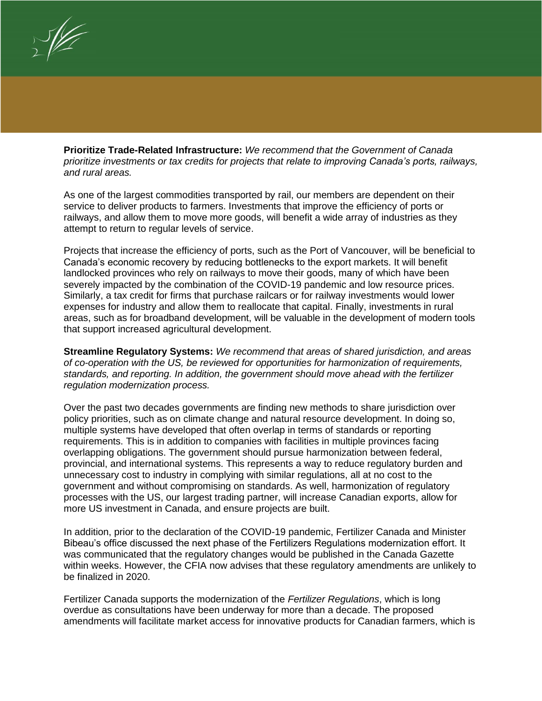$\sqrt{K}$ 

**Prioritize Trade-Related Infrastructure:** *We recommend that the Government of Canada prioritize investments or tax credits for projects that relate to improving Canada's ports, railways, and rural areas.* 

As one of the largest commodities transported by rail, our members are dependent on their service to deliver products to farmers. Investments that improve the efficiency of ports or railways, and allow them to move more goods, will benefit a wide array of industries as they attempt to return to regular levels of service.

Projects that increase the efficiency of ports, such as the Port of Vancouver, will be beneficial to Canada's economic recovery by reducing bottlenecks to the export markets. It will benefit landlocked provinces who rely on railways to move their goods, many of which have been severely impacted by the combination of the COVID-19 pandemic and low resource prices. Similarly, a tax credit for firms that purchase railcars or for railway investments would lower expenses for industry and allow them to reallocate that capital. Finally, investments in rural areas, such as for broadband development, will be valuable in the development of modern tools that support increased agricultural development.

**Streamline Regulatory Systems:** *We recommend that areas of shared jurisdiction, and areas of co-operation with the US, be reviewed for opportunities for harmonization of requirements, standards, and reporting. In addition, the government should move ahead with the fertilizer regulation modernization process.*

Over the past two decades governments are finding new methods to share jurisdiction over policy priorities, such as on climate change and natural resource development. In doing so, multiple systems have developed that often overlap in terms of standards or reporting requirements. This is in addition to companies with facilities in multiple provinces facing overlapping obligations. The government should pursue harmonization between federal, provincial, and international systems. This represents a way to reduce regulatory burden and unnecessary cost to industry in complying with similar regulations, all at no cost to the government and without compromising on standards. As well, harmonization of regulatory processes with the US, our largest trading partner, will increase Canadian exports, allow for more US investment in Canada, and ensure projects are built.

In addition, prior to the declaration of the COVID-19 pandemic, Fertilizer Canada and Minister Bibeau's office discussed the next phase of the Fertilizers Regulations modernization effort. It was communicated that the regulatory changes would be published in the Canada Gazette within weeks. However, the CFIA now advises that these regulatory amendments are unlikely to be finalized in 2020.

Fertilizer Canada supports the modernization of the *Fertilizer Regulations*, which is long overdue as consultations have been underway for more than a decade. The proposed amendments will facilitate market access for innovative products for Canadian farmers, which is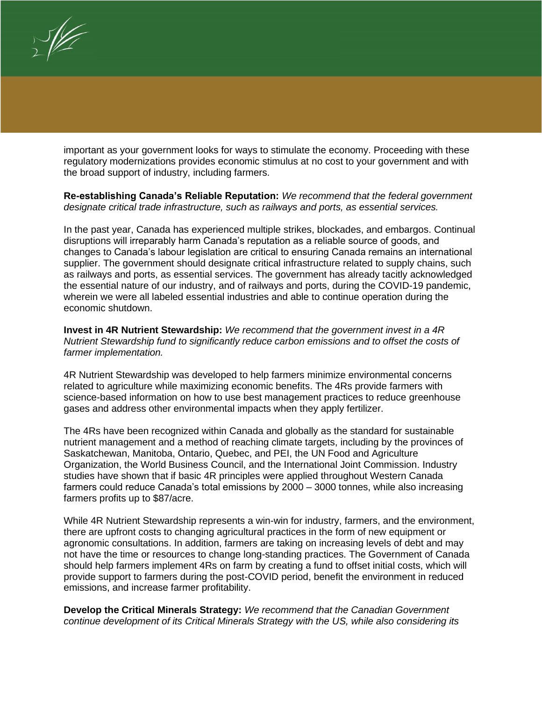important as your government looks for ways to stimulate the economy. Proceeding with these regulatory modernizations provides economic stimulus at no cost to your government and with the broad support of industry, including farmers.

**Re-establishing Canada's Reliable Reputation:** *We recommend that the federal government designate critical trade infrastructure, such as railways and ports, as essential services.*

In the past year, Canada has experienced multiple strikes, blockades, and embargos. Continual disruptions will irreparably harm Canada's reputation as a reliable source of goods, and changes to Canada's labour legislation are critical to ensuring Canada remains an international supplier. The government should designate critical infrastructure related to supply chains, such as railways and ports, as essential services. The government has already tacitly acknowledged the essential nature of our industry, and of railways and ports, during the COVID-19 pandemic, wherein we were all labeled essential industries and able to continue operation during the economic shutdown.

**Invest in 4R Nutrient Stewardship:** *We recommend that the government invest in a 4R Nutrient Stewardship fund to significantly reduce carbon emissions and to offset the costs of farmer implementation.*

4R Nutrient Stewardship was developed to help farmers minimize environmental concerns related to agriculture while maximizing economic benefits. The 4Rs provide farmers with science-based information on how to use best management practices to reduce greenhouse gases and address other environmental impacts when they apply fertilizer.

The 4Rs have been recognized within Canada and globally as the standard for sustainable nutrient management and a method of reaching climate targets, including by the provinces of Saskatchewan, Manitoba, Ontario, Quebec, and PEI, the UN Food and Agriculture Organization, the World Business Council, and the International Joint Commission. Industry studies have shown that if basic 4R principles were applied throughout Western Canada farmers could reduce Canada's total emissions by 2000 – 3000 tonnes, while also increasing farmers profits up to \$87/acre.

While 4R Nutrient Stewardship represents a win-win for industry, farmers, and the environment, there are upfront costs to changing agricultural practices in the form of new equipment or agronomic consultations. In addition, farmers are taking on increasing levels of debt and may not have the time or resources to change long-standing practices. The Government of Canada should help farmers implement 4Rs on farm by creating a fund to offset initial costs, which will provide support to farmers during the post-COVID period, benefit the environment in reduced emissions, and increase farmer profitability.

**Develop the Critical Minerals Strategy:** *We recommend that the Canadian Government continue development of its Critical Minerals Strategy with the US, while also considering its*